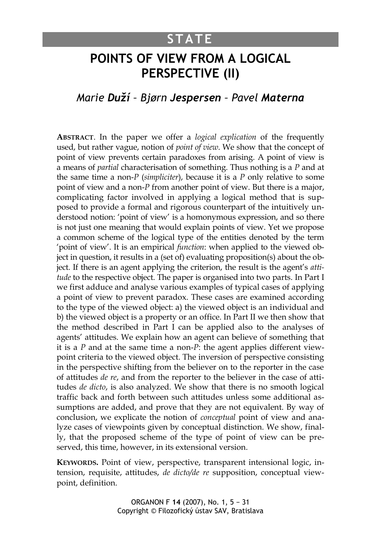# **STATE**

# **POINTS OF VIEW FROM A LOGICAL PERSPECTIVE (II)**

## *Marie Duží – Bjørn Jespersen – Pavel Materna*

**ABSTRACT**. In the paper we offer a *logical explication* of the frequently used, but rather vague, notion of *point of view*. We show that the concept of point of view prevents certain paradoxes from arising. A point of view is a means of *partial* characterisation of something. Thus nothing is a *P* and at the same time a non-*P* (*simpliciter*), because it is a *P* only relative to some point of view and a non-*P* from another point of view. But there is a major, complicating factor involved in applying a logical method that is supposed to provide a formal and rigorous counterpart of the intuitively understood notion: 'point of view' is a homonymous expression, and so there is not just one meaning that would explain points of view. Yet we propose a common scheme of the logical type of the entities denoted by the term 'point of view'. It is an empirical *function*: when applied to the viewed object in question, it results in a (set of) evaluating proposition(s) about the object. If there is an agent applying the criterion, the result is the agent's *attitude* to the respective object. The paper is organised into two parts. In Part I we first adduce and analyse various examples of typical cases of applying a point of view to prevent paradox. These cases are examined according to the type of the viewed object: a) the viewed object is an individual and b) the viewed object is a property or an office. In Part II we then show that the method described in Part I can be applied also to the analyses of agents' attitudes. We explain how an agent can believe of something that it is a *P* and at the same time a non-*P*: the agent applies different viewpoint criteria to the viewed object. The inversion of perspective consisting in the perspective shifting from the believer on to the reporter in the case of attitudes *de re*, and from the reporter to the believer in the case of attitudes *de dicto*, is also analyzed. We show that there is no smooth logical traffic back and forth between such attitudes unless some additional assumptions are added, and prove that they are not equivalent. By way of conclusion, we explicate the notion of *conceptual* point of view and analyze cases of viewpoints given by conceptual distinction. We show, finally, that the proposed scheme of the type of point of view can be preserved, this time, however, in its extensional version.

**KEYWORDS.** Point of view, perspective, transparent intensional logic, intension, requisite, attitudes, *de dicto/de re* supposition, conceptual viewpoint, definition.

> ORGANON F **14** (2007), No. 1, 5 − 31 Copyright © Filozofický ústav SAV, Bratislava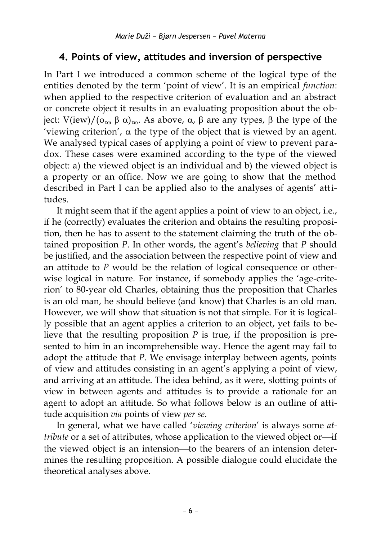## **4. Points of view, attitudes and inversion of perspective**

In Part I we introduced a common scheme of the logical type of the entities denoted by the term 'point of view'. It is an empirical *function*: when applied to the respective criterion of evaluation and an abstract or concrete object it results in an evaluating proposition about the object:  $V(iew)/(o_{\tau\omega} \beta \alpha)_{\tau\omega}$ . As above,  $\alpha$ ,  $\beta$  are any types,  $\beta$  the type of the 'viewing criterion',  $\alpha$  the type of the object that is viewed by an agent. We analysed typical cases of applying a point of view to prevent paradox. These cases were examined according to the type of the viewed object: a) the viewed object is an individual and b) the viewed object is a property or an office. Now we are going to show that the method described in Part I can be applied also to the analyses of agents' attitudes.

It might seem that if the agent applies a point of view to an object, i.e., if he (correctly) evaluates the criterion and obtains the resulting proposition, then he has to assent to the statement claiming the truth of the obtained proposition *P*. In other words, the agent's *believing* that *P* should be justified, and the association between the respective point of view and an attitude to *P* would be the relation of logical consequence or otherwise logical in nature. For instance, if somebody applies the 'age-criterion' to 80-year old Charles, obtaining thus the proposition that Charles is an old man, he should believe (and know) that Charles is an old man. However, we will show that situation is not that simple. For it is logically possible that an agent applies a criterion to an object, yet fails to believe that the resulting proposition *P* is true, if the proposition is presented to him in an incomprehensible way. Hence the agent may fail to adopt the attitude that *P*. We envisage interplay between agents, points of view and attitudes consisting in an agent's applying a point of view, and arriving at an attitude. The idea behind, as it were, slotting points of view in between agents and attitudes is to provide a rationale for an agent to adopt an attitude. So what follows below is an outline of attitude acquisition *via* points of view *per se*.

In general, what we have called '*viewing criterion*' is always some *attribute* or a set of attributes, whose application to the viewed object or-if the viewed object is an intension—to the bearers of an intension determines the resulting proposition. A possible dialogue could elucidate the theoretical analyses above.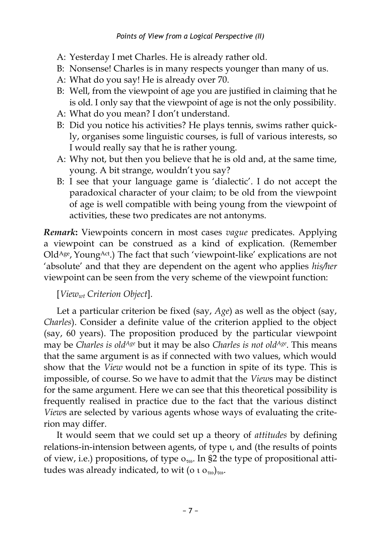#### *Points of View from a Logical Perspective (II)*

- A: Yesterday I met Charles. He is already rather old.
- B: Nonsense! Charles is in many respects younger than many of us.
- A: What do you say! He is already over 70.
- B: Well, from the viewpoint of age you are justified in claiming that he is old. I only say that the viewpoint of age is not the only possibility.
- A: What do you mean? I don't understand.
- B: Did you notice his activities? He plays tennis, swims rather quickly, organises some linguistic courses, is full of various interests, so I would really say that he is rather young.
- A: Why not, but then you believe that he is old and, at the same time, young. A bit strange, wouldn't you say?
- B: I see that your language game is 'dialectic'. I do not accept the paradoxical character of your claim; to be old from the viewpoint of age is well compatible with being young from the viewpoint of activities, these two predicates are not antonyms.

*Remark***:** Viewpoints concern in most cases *vague* predicates. Applying a viewpoint can be construed as a kind of explication. (Remember Old<sup>Age</sup>, Young<sup>Act</sup>.) The fact that such 'viewpoint-like' explications are not 'absolute' and that they are dependent on the agent who applies *his/her* viewpoint can be seen from the very scheme of the viewpoint function:

### [*Viewwt Criterion Object*].

Let a particular criterion be fixed (say, *Age*) as well as the object (say, *Charles*). Consider a definite value of the criterion applied to the object (say, 60 years). The proposition produced by the particular viewpoint may be *Charles is oldAge* but it may be also *Charles is not oldAge*. This means that the same argument is as if connected with two values, which would show that the *View* would not be a function in spite of its type. This is impossible, of course. So we have to admit that the *View*s may be distinct for the same argument. Here we can see that this theoretical possibility is frequently realised in practice due to the fact that the various distinct *View*s are selected by various agents whose ways of evaluating the criterion may differ.

It would seem that we could set up a theory of *attitudes* by defining relations-in-intension between agents, of type  $\iota$ , and (the results of points of view, i.e.) propositions, of type  $o_{\tau\omega}$ . In §2 the type of propositional attitudes was already indicated, to wit ( $0.1 \Omega_{\text{m}}$ )<sub>ro</sub>.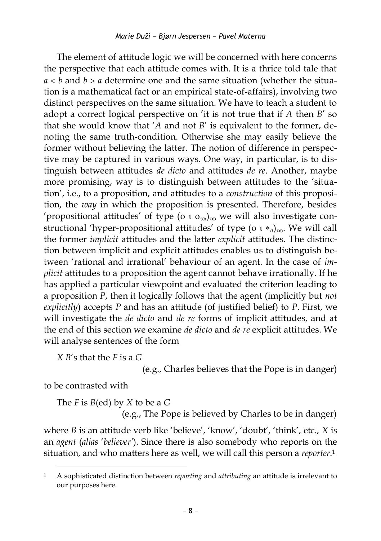The element of attitude logic we will be concerned with here concerns the perspective that each attitude comes with. It is a thrice told tale that  $a < b$  and  $b > a$  determine one and the same situation (whether the situation is a mathematical fact or an empirical state-of-affairs), involving two distinct perspectives on the same situation. We have to teach a student to adopt a correct logical perspective on 'it is not true that if *A* then *B*' so that she would know that '*A* and not *B*' is equivalent to the former, denoting the same truth-condition. Otherwise she may easily believe the former without believing the latter. The notion of difference in perspective may be captured in various ways. One way, in particular, is to distinguish between attitudes *de dicto* and attitudes *de re*. Another, maybe more promising, way is to distinguish between attitudes to the 'situation', i.e., to a proposition, and attitudes to a *construction* of this proposition, the *way* in which the proposition is presented. Therefore, besides 'propositional attitudes' of type ( $\alpha$  t  $\sigma_{\text{ro}}$ )<sub>τω</sub> we will also investigate constructional 'hyper-propositional attitudes' of type ( $o \, i *_{n}$ )<sub>τω</sub>. We will call the former *implicit* attitudes and the latter *explicit* attitudes. The distinction between implicit and explicit attitudes enables us to distinguish between 'rational and irrational' behaviour of an agent. In the case of *implicit* attitudes to a proposition the agent cannot behave irrationally. If he has applied a particular viewpoint and evaluated the criterion leading to a proposition *P*, then it logically follows that the agent (implicitly but *not explicitly*) accepts *P* and has an attitude (of justified belief) to *P*. First, we will investigate the *de dicto* and *de re* forms of implicit attitudes, and at the end of this section we examine *de dicto* and *de re* explicit attitudes. We will analyse sentences of the form

*X B*'s that the *F* is a *G*

(e.g., Charles believes that the Pope is in danger)

to be contrasted with

 $\overline{a}$ 

The *F* is *B*(ed) by *X* to be a *G*

(e.g., The Pope is believed by Charles to be in danger)

where *B* is an attitude verb like 'believe', 'know', 'doubt', 'think', etc., *X* is an *agent* (*alias* '*believer'*). Since there is also somebody who reports on the situation, and who matters here as well, we will call this person a *reporter*. 1

<sup>1</sup> A sophisticated distinction between *reporting* and *attributing* an attitude is irrelevant to our purposes here.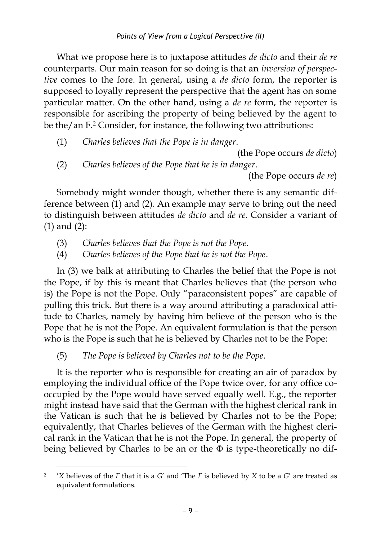What we propose here is to juxtapose attitudes *de dicto* and their *de re* counterparts. Our main reason for so doing is that an *inversion of perspective* comes to the fore. In general, using a *de dicto* form, the reporter is supposed to loyally represent the perspective that the agent has on some particular matter. On the other hand, using a *de re* form, the reporter is responsible for ascribing the property of being believed by the agent to be the/an F.<sup>2</sup> Consider, for instance, the following two attributions:

(1) *Charles believes that the Pope is in danger*.

(the Pope occurs *de dicto*)

(2) *Charles believes of the Pope that he is in danger*.

(the Pope occurs *de re*)

Somebody might wonder though, whether there is any semantic difference between (1) and (2). An example may serve to bring out the need to distinguish between attitudes *de dicto* and *de re*. Consider a variant of (1) and (2):

- (3) *Charles believes that the Pope is not the Pope*.
- (4) *Charles believes of the Pope that he is not the Pope*.

In (3) we balk at attributing to Charles the belief that the Pope is not the Pope, if by this is meant that Charles believes that (the person who is) the Pope is not the Pope. Only "paraconsistent popes" are capable of pulling this trick. But there is a way around attributing a paradoxical attitude to Charles, namely by having him believe of the person who is the Pope that he is not the Pope. An equivalent formulation is that the person who is the Pope is such that he is believed by Charles not to be the Pope:

(5) *The Pope is believed by Charles not to be the Pope*.

 $\overline{a}$ 

It is the reporter who is responsible for creating an air of paradox by employing the individual office of the Pope twice over, for any office cooccupied by the Pope would have served equally well. E.g., the reporter might instead have said that the German with the highest clerical rank in the Vatican is such that he is believed by Charles not to be the Pope; equivalently, that Charles believes of the German with the highest clerical rank in the Vatican that he is not the Pope. In general, the property of being believed by Charles to be an or the  $\Phi$  is type-theoretically no dif-

 $\overline{2}$  '*X* believes of the *F* that it is a *G*' and 'The *F* is believed by *X* to be a *G*' are treated as equivalent formulations.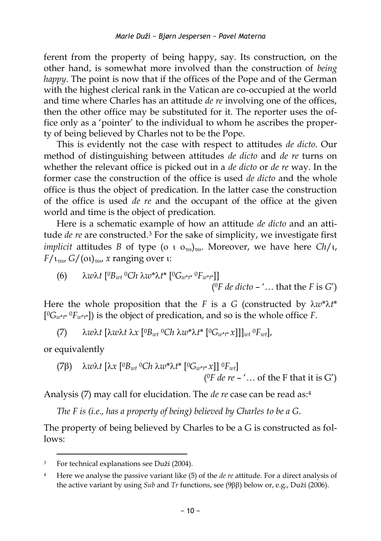ferent from the property of being happy, say. Its construction, on the other hand, is somewhat more involved than the construction of *being happy*. The point is now that if the offices of the Pope and of the German with the highest clerical rank in the Vatican are co-occupied at the world and time where Charles has an attitude *de re* involving one of the offices, then the other office may be substituted for it. The reporter uses the office only as a 'pointer' to the individual to whom he ascribes the property of being believed by Charles not to be the Pope.

This is evidently not the case with respect to attitudes *de dicto*. Our method of distinguishing between attitudes *de dicto* and *de re* turns on whether the relevant office is picked out in a *de dicto* or *de re* way. In the former case the construction of the office is used *de dicto* and the whole office is thus the object of predication. In the latter case the construction of the office is used *de re* and the occupant of the office at the given world and time is the object of predication.

Here is a schematic example of how an attitude *de dicto* and an attitude *de re* are constructed. <sup>3</sup> For the sake of simplicity, we investigate first *implicit* attitudes *B* of type ( $\sigma$   $\sigma$ <sub>c $\omega$ </sub>)<sub>r $\omega$ </sub>. Moreover, we have here *Ch*/ $\tau$ ,  $F/\iota_{\tau\omega}$ ,  $G/(\sigma\iota)_{\tau\omega}$ , *x* ranging over  $\iota$ :

(6) 
$$
\lambda w \lambda t \left[ {}^{0}B_{wt} {}^{0}Ch \lambda w^* \lambda t^* \left[ {}^{0}G_{w^*t^*} {}^{0}F_{w^*t^*} \right] \right]
$$
  
( ${}^{0}F de dicto - '...$  that the *F* is *G'*)

Here the whole proposition that the *F* is a *G* (constructed by  $\lambda w^* \lambda t^*$ [ <sup>0</sup>*G<sup>w</sup>*\**t*\* <sup>0</sup>*F<sup>w</sup>*\**t*\*]) is the object of predication, and so is the whole office *F*.

(7) *wt* [*wt x* [ <sup>0</sup>*Bwt* <sup>0</sup>*Ch w*\**t*\* [0*G<sup>w</sup>*\**t*\* *x*]]]*wt* <sup>0</sup>*Fwt*],

or equivalently

(7
$$
\beta
$$
)  $\lambda w \lambda t$  [ $\lambda x$  [ ${}^0B_{wt} {}^0Ch \lambda w^* \lambda t^*$  [ ${}^0G_{w^*t^*} x$ ]]  ${}^0F_{wt}$ ]  
( ${}^0F de re - '...$  of the F that it is G')

Analysis (7) may call for elucidation. The *de re* case can be read as:<sup>4</sup>

*The F is (i.e., has a property of being) believed by Charles to be a G*.

The property of being believed by Charles to be a G is constructed as follows:

 $\overline{a}$ 3 For technical explanations see Duží (2004).

<sup>4</sup> Here we analyse the passive variant like (5) of the *de re* attitude. For a direct analysis of the active variant by using *Sub* and *Tr* functions, see (9ββ) below or, e.g., Duží (2006).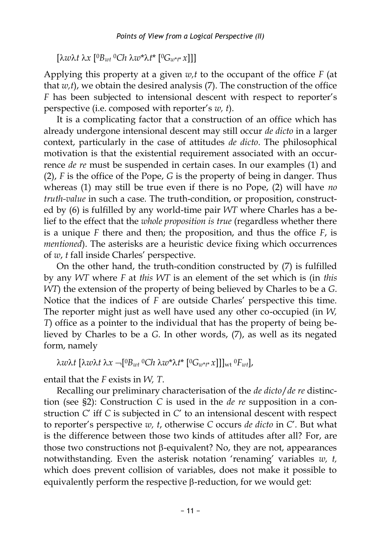[*wt x* [ <sup>0</sup>*Bwt* <sup>0</sup>*Ch w*\**t*\* [0*G<sup>w</sup>*\**t*\* *x*]]]

Applying this property at a given *w,t* to the occupant of the office *F* (at that  $w$ ,t), we obtain the desired analysis  $(7)$ . The construction of the office *F* has been subjected to intensional descent with respect to reporter's perspective (i.e. composed with reporter's *w, t*).

It is a complicating factor that a construction of an office which has already undergone intensional descent may still occur *de dicto* in a larger context, particularly in the case of attitudes *de dicto*. The philosophical motivation is that the existential requirement associated with an occurrence *de re* must be suspended in certain cases. In our examples (1) and (2), *F* is the office of the Pope, *G* is the property of being in danger. Thus whereas (1) may still be true even if there is no Pope, (2) will have *no truth-value* in such a case*.* The truth-condition, or proposition, constructed by (6) is fulfilled by any world-time pair *WT* where Charles has a belief to the effect that the *whole proposition is true* (regardless whether there is a unique *F* there and then; the proposition, and thus the office *F*, is *mentioned*). The asterisks are a heuristic device fixing which occurrences of *w*, *t* fall inside Charles' perspective.

On the other hand, the truth-condition constructed by (7) is fulfilled by any *WT* where *F* at *this WT* is an element of the set which is (in *this WT*) the extension of the property of being believed by Charles to be a *G*. Notice that the indices of *F* are outside Charles' perspective this time. The reporter might just as well have used any other co-occupied (in *W, T*) office as a pointer to the individual that has the property of being believed by Charles to be a *G*. In other words, (7), as well as its negated form, namely

*wt* [*wt x* [ <sup>0</sup>*Bwt* <sup>0</sup>*Ch w*\**t*\* [0*G<sup>w</sup>*\**t*\* *x*]]]wt <sup>0</sup>*Fwt*],

entail that the *F* exists in *W, T*.

Recalling our preliminary characterisation of the *de dicto*/*de re* distinction (see §2): Construction *C* is used in the *de re* supposition in a construction *C*' iff *C* is subjected in *C*' to an intensional descent with respect to reporter's perspective *w, t*, otherwise *C* occurs *de dicto* in *C*'*.* But what is the difference between those two kinds of attitudes after all? For, are those two constructions not  $\beta$ -equivalent? No, they are not, appearances notwithstanding. Even the asterisk notation 'renaming' variables *w, t,*  which does prevent collision of variables, does not make it possible to equivalently perform the respective  $\beta$ -reduction, for we would get: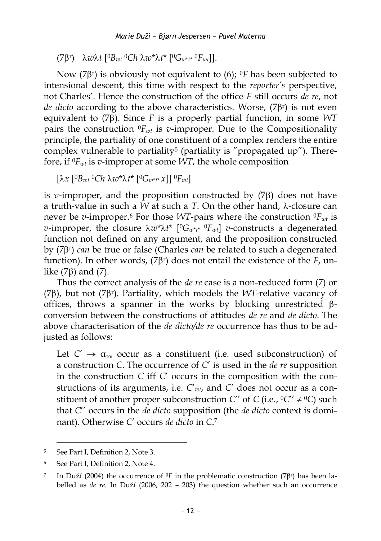$(7\beta^r)$   $\lambda w \lambda t$   $[{}^0B_{wt}$   ${}^0Ch \lambda w^* \lambda t^*$   $[{}^0G_{w^*t^*}$   ${}^0F_{wt}$ ].

Now (7β<sup>r</sup>) is obviously not equivalent to (6); <sup>0</sup>F has been subjected to intensional descent, this time with respect to the *reporter's* perspective, not Charles'. Hence the construction of the office *F* still occurs *de re*, not de dicto according to the above characteristics. Worse, (7 $\beta$ r) is not even equivalent to  $(7\beta)$ . Since *F* is a properly partial function, in some *WT* pairs the construction  ${}^0F_{wt}$  is *v*-improper. Due to the Compositionality principle, the partiality of one constituent of a complex renders the entire complex vulnerable to partiality<sup>5</sup> (partiality is "propagated up"). Therefore, if 0*Fwt* is *v-*improper at some *WT*, the whole composition

 $[\lambda x \ [^{0}B_{wt} \, ^{0}Ch \, \lambda w^* \lambda t^* \, [^{0}G_{w^*t^*} x]] \, ^{0}F_{wt}]$ 

is  $v$ -improper, and the proposition constructed by  $(7\beta)$  does not have a truth-value in such a *W* at such a *T*. On the other hand,  $\lambda$ -closure can never be *v-*improper. <sup>6</sup> For those *WT*-pairs where the construction 0*Fwt* is *v*-improper, the closure  $\lambda w^* \lambda t^*$  [<sup>0</sup> $G_{w^*t^*}$  <sup>0</sup> $F_{wt}$ ] *v*-constructs a degenerated function not defined on any argument, and the proposition constructed by (7β<sup>r</sup>) *can* be true or false (Charles *can* be related to such a degenerated function). In other words,  $(7\beta^r)$  does not entail the existence of the  $F$ , unlike  $(7\beta)$  and  $(7)$ .

Thus the correct analysis of the *de re* case is a non-reduced form (7) or ( $7\beta$ ), but not ( $7\beta$ <sup>r</sup>). Partiality, which models the *WT*-relative vacancy of offices, throws a spanner in the works by blocking unrestricted  $\beta$ conversion between the constructions of attitudes *de re* and *de dicto*. The above characterisation of the *de dicto/de re* occurrence has thus to be adjusted as follows:

Let  $C' \rightarrow \alpha_{\tau\omega}$  occur as a constituent (i.e. used subconstruction) of a construction *C*. The occurrence of *C*' is used in the *de re* supposition in the construction *C* iff *C*' occurs in the composition with the constructions of its arguments, i.e. *C*'*wt*, and *C*' does not occur as a constituent of another proper subconstruction *C*'' of *C* (i.e.,  ${}^0C' \neq {}^0C$ ) such that *C*'' occurs in the *de dicto* supposition (the *de dicto* context is dominant). Otherwise *C*' occurs *de dicto* in *C*. 7

<sup>5</sup> See Part I, Definition 2, Note 3.

<sup>6</sup> See Part I, Definition 2, Note 4.

<sup>7</sup> In Duží (2004) the occurrence of  ${}^{0}F$  in the problematic construction (7 $\beta$ r) has been labelled as *de re.* In Duží (2006, 202 – 203) the question whether such an occurrence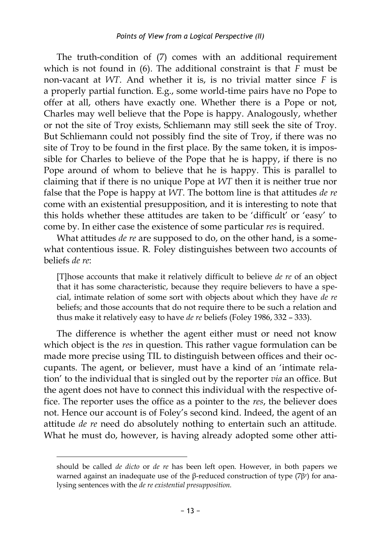The truth-condition of (7) comes with an additional requirement which is not found in (6). The additional constraint is that *F* must be non-vacant at *WT*. And whether it is, is no trivial matter since *F* is a properly partial function. E.g., some world-time pairs have no Pope to offer at all, others have exactly one. Whether there is a Pope or not, Charles may well believe that the Pope is happy. Analogously, whether or not the site of Troy exists, Schliemann may still seek the site of Troy. But Schliemann could not possibly find the site of Troy, if there was no site of Troy to be found in the first place. By the same token, it is impossible for Charles to believe of the Pope that he is happy, if there is no Pope around of whom to believe that he is happy. This is parallel to claiming that if there is no unique Pope at *WT* then it is neither true nor false that the Pope is happy at *WT*. The bottom line is that attitudes *de re* come with an existential presupposition, and it is interesting to note that this holds whether these attitudes are taken to be 'difficult' or 'easy' to come by. In either case the existence of some particular *res* is required.

What attitudes *de re* are supposed to do, on the other hand, is a somewhat contentious issue. R. Foley distinguishes between two accounts of beliefs *de re*:

[T]hose accounts that make it relatively difficult to believe *de re* of an object that it has some characteristic, because they require believers to have a special, intimate relation of some sort with objects about which they have *de re* beliefs; and those accounts that do not require there to be such a relation and thus make it relatively easy to have *de re* beliefs (Foley 1986, 332 – 333).

The difference is whether the agent either must or need not know which object is the *res* in question. This rather vague formulation can be made more precise using TIL to distinguish between offices and their occupants. The agent, or believer, must have a kind of an 'intimate relation' to the individual that is singled out by the reporter *via* an office. But the agent does not have to connect this individual with the respective office. The reporter uses the office as a pointer to the *res*, the believer does not. Hence our account is of Foley's second kind. Indeed, the agent of an attitude *de re* need do absolutely nothing to entertain such an attitude. What he must do, however, is having already adopted some other atti-

should be called *de dicto* or *de re* has been left open. However, in both papers we warned against an inadequate use of the β-reduced construction of type  $(7β<sup>r</sup>)$  for analysing sentences with the *de re existential presupposition.*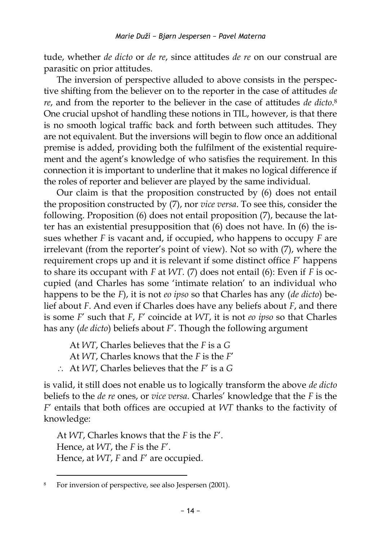tude, whether *de dicto* or *de re*, since attitudes *de re* on our construal are parasitic on prior attitudes.

The inversion of perspective alluded to above consists in the perspective shifting from the believer on to the reporter in the case of attitudes *de re*, and from the reporter to the believer in the case of attitudes *de dicto*. 8 One crucial upshot of handling these notions in TIL, however, is that there is no smooth logical traffic back and forth between such attitudes. They are not equivalent. But the inversions will begin to flow once an additional premise is added, providing both the fulfilment of the existential requirement and the agent's knowledge of who satisfies the requirement. In this connection it is important to underline that it makes no logical difference if the roles of reporter and believer are played by the same individual.

Our claim is that the proposition constructed by (6) does not entail the proposition constructed by (7), nor *vice versa*. To see this, consider the following. Proposition (6) does not entail proposition (7), because the latter has an existential presupposition that (6) does not have. In (6) the issues whether *F* is vacant and, if occupied, who happens to occupy *F* are irrelevant (from the reporter's point of view). Not so with (7), where the requirement crops up and it is relevant if some distinct office *F*' happens to share its occupant with *F* at *WT*. (7) does not entail (6): Even if *F* is occupied (and Charles has some 'intimate relation' to an individual who happens to be the *F*), it is not *eo ipso* so that Charles has any (*de dicto*) belief about *F*. And even if Charles does have any beliefs about *F*, and there is some *F*' such that *F*, *F*' coincide at *WT*, it is not *eo ipso* so that Charles has any (*de dicto*) beliefs about *F*'. Though the following argument

At *WT*, Charles believes that the *F* is a *G* At *WT*, Charles knows that the *F* is the *F*' At *WT*, Charles believes that the *F*' is a *G*

is valid, it still does not enable us to logically transform the above *de dicto* beliefs to the *de re* ones, or *vice versa*. Charles' knowledge that the *F* is the *F*' entails that both offices are occupied at *WT* thanks to the factivity of knowledge:

At *WT*, Charles knows that the *F* is the *F*'. Hence, at *WT*, the *F* is the *F*'. Hence, at *WT*, *F* and *F*' are occupied.

<sup>8</sup> For inversion of perspective, see also Jespersen (2001).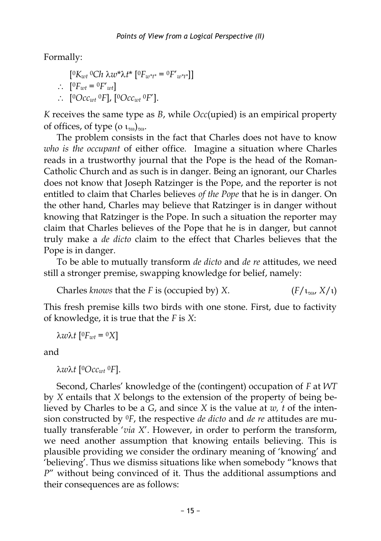Formally:

$$
[{}^0K_{wt}{}^0Ch\lambda w^*\lambda t^* \left[{}^0F_{w^*t^*} = {}^0F'_{w^*t^*}\right]]
$$
  
 
$$
\therefore \left[{}^0F_{wt} = {}^0F'_{wt}\right]
$$
  
 
$$
\therefore \left[{}^0Occ_{wt}{}^0F\right], \left[{}^0Occ_{wt}{}^0F'\right].
$$

*K* receives the same type as *B*, while *Occ*(upied) is an empirical property of offices, of type ( $\alpha$   $_{\text{t}}$ <sub>0</sub>) $_{\text{t}}$ .

The problem consists in the fact that Charles does not have to know *who is the occupant* of either office*.* Imagine a situation where Charles reads in a trustworthy journal that the Pope is the head of the Roman-Catholic Church and as such is in danger. Being an ignorant, our Charles does not know that Joseph Ratzinger is the Pope, and the reporter is not entitled to claim that Charles believes *of the Pope* that he is in danger. On the other hand, Charles may believe that Ratzinger is in danger without knowing that Ratzinger is the Pope. In such a situation the reporter may claim that Charles believes of the Pope that he is in danger, but cannot truly make a *de dicto* claim to the effect that Charles believes that the Pope is in danger.

To be able to mutually transform *de dicto* and *de re* attitudes, we need still a stronger premise, swapping knowledge for belief, namely:

Charles *knows* that the *F* is (occupied by) *X*. ( $F/\iota_{\text{row}} X/\iota$ )

This fresh premise kills two birds with one stone. First, due to factivity of knowledge, it is true that the *F* is *X*:

*wt* [ <sup>0</sup>*Fwt* = 0*X*]

and

*wt* [ <sup>0</sup>*Occwt* <sup>0</sup>*F*].

Second, Charles' knowledge of the (contingent) occupation of *F* at *WT* by *X* entails that *X* belongs to the extension of the property of being believed by Charles to be a *G*, and since *X* is the value at *w, t* of the intension constructed by 0*F*, the respective *de dicto* and *de re* attitudes are mutually transferable '*via X*'. However, in order to perform the transform, we need another assumption that knowing entails believing. This is plausible providing we consider the ordinary meaning of 'knowing' and 'believing'. Thus we dismiss situations like when somebody "knows that *P*" without being convinced of it. Thus the additional assumptions and their consequences are as follows: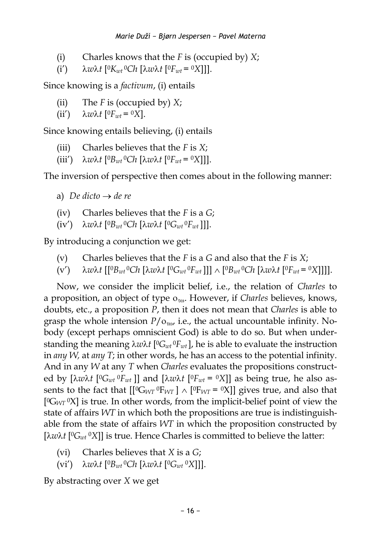- (i) Charles knows that the *F* is (occupied by) *X*;
- $(i')$   $\lambda w \lambda t$   $[{}^0K_{wt} {}^0Ch$   $[\lambda w \lambda t$   $[{}^0F_{wt} = {}^0X$ ]].

Since knowing is a *factivum*, (i) entails

- (ii) The *F* is (occupied by) *X*;
- $(iii') \quad \lambda w \lambda t \; [{}^0F_{wt} = {}^0X].$

Since knowing entails believing, (i) entails

- (iii) Charles believes that the *F* is *X*;
- $(iii')$   $\lambda w\lambda t$   $[{}^0B_{wt}{}^0Ch$   $[\lambda w\lambda t$   $[{}^0F_{wt}{}^0{}^0X]]$ .

The inversion of perspective then comes about in the following manner:

- a) *De dicto*  $\rightarrow$  *de re*
- (iv) Charles believes that the *F* is a *G*;
- $(iv')$   $\lambda w\lambda t$   $[{}^0B_{wt}{}^0Ch$   $[\lambda w\lambda t$   $[{}^0G_{wt}{}^0F_{wt}$ ]]].

By introducing a conjunction we get:

- (v) Charles believes that the *F* is a *G* and also that the *F* is *X*;
- $(v')$  *λ*wλt  $[[{}^0B_{wt}{}^0Ch\ [\lambda w\lambda t\ [{}^0G_{wt}{}^0F_{wt}]]]\wedge [{}^0B_{wt}{}^0Ch\ [\lambda w\lambda t\ [{}^0F_{wt}{}^0N]]]].$

Now, we consider the implicit belief, i.e., the relation of *Charles* to a proposition, an object of type o<sub>ro</sub>. However, if *Charles* believes, knows, doubts, etc., a proposition *P*, then it does not mean that *Charles* is able to grasp the whole intension  $P/\rho_{\text{row}}$  i.e., the actual uncountable infinity. Nobody (except perhaps omniscient God) is able to do so. But when understanding the meaning λ*w*λt [<sup>0</sup>*G*<sub>*wt*</sub> <sup>0</sup>*F*<sub>*wt*</sub>], he is able to evaluate the instruction in *any W,* at *any T*; in other words, he has an access to the potential infinity. And in any *W* at any *T* when *Charles* evaluates the propositions constructed by  $[\lambda w \lambda t$   $[{}^0G_{wt} {}^0F_{wt}]$ ] and  $[\lambda w \lambda t$   $[{}^0F_{wt} = {}^0X]$ ] as being true, he also assents to the fact that  $\left[\begin{bmatrix} {^0}G_{WT} {^0}F_{WT} \end{bmatrix} \wedge \begin{bmatrix} {^0}F_{WT} = {^0}X \end{bmatrix}\right]$  gives true, and also that [ <sup>0</sup>G*WT* <sup>0</sup>X] is true. In other words, from the implicit-belief point of view the state of affairs *WT* in which both the propositions are true is indistinguishable from the state of affairs *WT* in which the proposition constructed by [λwλt [<sup>0</sup>G<sub>wt</sub> <sup>0</sup>X]] is true. Hence Charles is committed to believe the latter:

- (vi) Charles believes that *X* is a *G*;
- $(vi')$   $\lambda w\lambda t$   $[{}^0B_{wt}{}^0Ch$   $[\lambda w\lambda t$   $[{}^0G_{wt}{}^0X]]$ ].

By abstracting over *X* we get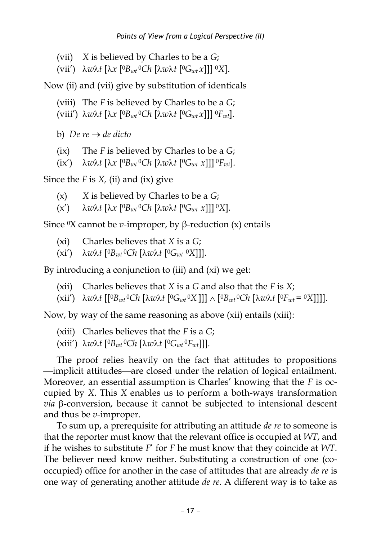- (vii) *X* is believed by Charles to be a *G*;
- (vii') *wt* [*x* [ <sup>0</sup>*Bwt* <sup>0</sup>*Ch* [*wt* [ <sup>0</sup>*Gwt x*]]] 0*X*].

Now (ii) and (vii) give by substitution of identicals

- (viii) The *F* is believed by Charles to be a *G*;
- (viii') *wt* [*x* [ <sup>0</sup>*Bwt* <sup>0</sup>*Ch* [*wt* [ <sup>0</sup>*Gwt x*]]] 0*Fwt*].

b) *De re*  $\rightarrow$  *de dicto* 

- (ix) The *F* is believed by Charles to be a *G*;
- $(ix')$   $\lambda w\lambda t$   $[\lambda x$   $[{}^0B_{wt}$   ${}^0Ch$   $[\lambda w\lambda t$   $[{}^0G_{wt}$   $x$ ]]]  ${}^0F_{wt}$ ].

Since the *F* is *X,* (ii) and (ix) give

- (x) *X* is believed by Charles to be a *G*;
- $(x')$  *λw*λt  $[\lambda x$   $[<sup>0</sup>B<sub>wt</sub> <sup>0</sup>Ch$   $[\lambda w\lambda t$   $[<sup>0</sup>G<sub>wt</sub> x$ ]]] <sup>o</sup>X].

Since 0X cannot be *v-*improper, by β-reduction (x) entails

- (xi) Charles believes that *X* is a *G*;
- $(xi')$   $\lambda w\lambda t$   $[{}^0B_{wt}{}^0Ch$   $[\lambda w\lambda t$   $[{}^0G_{wt}{}^0X]]$ ].

By introducing a conjunction to (iii) and (xi) we get:

- (xii) Charles believes that *X* is a *G* and also that the *F* is *X*;
- $(xii')$   $\lambda w\lambda t$   $[[^0B_{wt}{}^0Ch \;[\lambda w\lambda t \; [^0G_{wt}{}^0X$  ]]]  $\wedge$   $[^0B_{wt}{}^0Ch \;[\lambda w\lambda t \; [^0F_{wt}{}^0S]$ ]]].

Now, by way of the same reasoning as above (xii) entails (xiii):

- (xiii) Charles believes that the *F* is a *G*;
- $(xiii')$   $\lambda w\lambda t$   $[{}^0B_{wt}{}^0Ch$   $[\lambda w\lambda t$   $[{}^0G_{wt}{}^0F_{wt}]]].$

The proof relies heavily on the fact that attitudes to propositions implicit attitudes—are closed under the relation of logical entailment. Moreover, an essential assumption is Charles' knowing that the *F* is occupied by *X*. This *X* enables us to perform a both-ways transformation  $via$   $\beta$ -conversion, because it cannot be subjected to intensional descent and thus be *v-*improper.

To sum up, a prerequisite for attributing an attitude *de re* to someone is that the reporter must know that the relevant office is occupied at *WT*, and if he wishes to substitute *F*' for *F* he must know that they coincide at *WT*. The believer need know neither. Substituting a construction of one (cooccupied) office for another in the case of attitudes that are already *de re* is one way of generating another attitude *de re*. A different way is to take as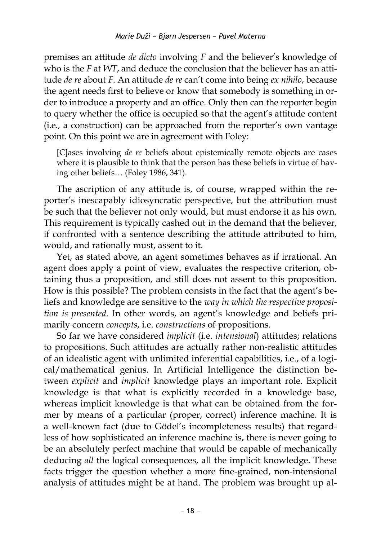premises an attitude *de dicto* involving *F* and the believer's knowledge of who is the *F* at *WT*, and deduce the conclusion that the believer has an attitude *de re* about *F*. An attitude *de re* can't come into being *ex nihilo*, because the agent needs first to believe or know that somebody is something in order to introduce a property and an office. Only then can the reporter begin to query whether the office is occupied so that the agent's attitude content (i.e., a construction) can be approached from the reporter's own vantage point. On this point we are in agreement with Foley:

[C]ases involving *de re* beliefs about epistemically remote objects are cases where it is plausible to think that the person has these beliefs in virtue of having other beliefs… (Foley 1986, 341).

The ascription of any attitude is, of course, wrapped within the reporter's inescapably idiosyncratic perspective, but the attribution must be such that the believer not only would, but must endorse it as his own. This requirement is typically cashed out in the demand that the believer, if confronted with a sentence describing the attitude attributed to him, would, and rationally must, assent to it.

Yet, as stated above, an agent sometimes behaves as if irrational. An agent does apply a point of view, evaluates the respective criterion, obtaining thus a proposition, and still does not assent to this proposition. How is this possible? The problem consists in the fact that the agent's beliefs and knowledge are sensitive to the *way in which the respective proposition is presented.* In other words, an agent's knowledge and beliefs primarily concern *concepts*, i.e. *constructions* of propositions.

So far we have considered *implicit* (i.e. *intensional*) attitudes; relations to propositions. Such attitudes are actually rather non-realistic attitudes of an idealistic agent with unlimited inferential capabilities, i.e., of a logical/mathematical genius. In Artificial Intelligence the distinction between *explicit* and *implicit* knowledge plays an important role. Explicit knowledge is that what is explicitly recorded in a knowledge base, whereas implicit knowledge is that what can be obtained from the former by means of a particular (proper, correct) inference machine. It is a well-known fact (due to Gödel's incompleteness results) that regardless of how sophisticated an inference machine is, there is never going to be an absolutely perfect machine that would be capable of mechanically deducing *all* the logical consequences, all the implicit knowledge. These facts trigger the question whether a more fine-grained, non-intensional analysis of attitudes might be at hand. The problem was brought up al-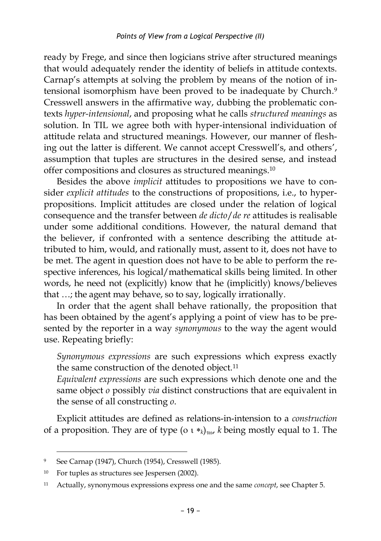ready by Frege, and since then logicians strive after structured meanings that would adequately render the identity of beliefs in attitude contexts. Carnap's attempts at solving the problem by means of the notion of intensional isomorphism have been proved to be inadequate by Church. 9 Cresswell answers in the affirmative way, dubbing the problematic contexts *hyper-intensional*, and proposing what he calls *structured meanings* as solution. In TIL we agree both with hyper-intensional individuation of attitude relata and structured meanings. However, our manner of fleshing out the latter is different. We cannot accept Cresswell's, and others', assumption that tuples are structures in the desired sense, and instead offer compositions and closures as structured meanings. 10

Besides the above *implicit* attitudes to propositions we have to consider *explicit attitudes* to the constructions of propositions, i.e., to hyperpropositions. Implicit attitudes are closed under the relation of logical consequence and the transfer between *de dicto*/*de re* attitudes is realisable under some additional conditions. However, the natural demand that the believer, if confronted with a sentence describing the attitude attributed to him, would, and rationally must, assent to it, does not have to be met. The agent in question does not have to be able to perform the respective inferences, his logical/mathematical skills being limited. In other words, he need not (explicitly) know that he (implicitly) knows/believes that …; the agent may behave, so to say, logically irrationally.

In order that the agent shall behave rationally, the proposition that has been obtained by the agent's applying a point of view has to be presented by the reporter in a way *synonymous* to the way the agent would use. Repeating briefly:

*Synonymous expressions* are such expressions which express exactly the same construction of the denoted object.<sup>11</sup>

*Equivalent expressions* are such expressions which denote one and the same object *o* possibly *via* distinct constructions that are equivalent in the sense of all constructing *o*.

Explicit attitudes are defined as relations-in-intension to a *construction*  of a proposition. They are of type ( $\alpha$   $\alpha$ ), *k* being mostly equal to 1. The

<sup>9</sup> See Carnap (1947), Church (1954), Cresswell (1985).

<sup>10</sup> For tuples as structures see Jespersen (2002).

<sup>11</sup> Actually, synonymous expressions express one and the same *concept*, see Chapter 5.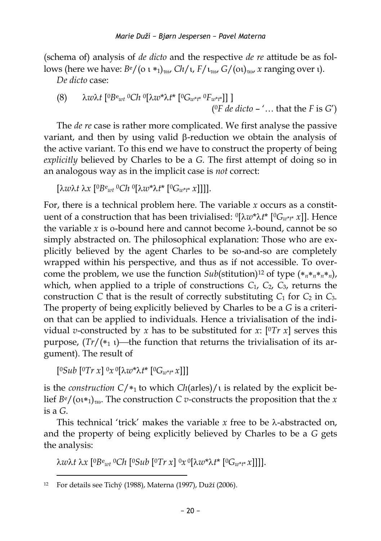(schema of) analysis of *de dicto* and the respective *de re* attitude be as follows (here we have:  $B^e/(\sigma^2 t_{\text{row}})$ ,  $Ch/t$ ,  $F/t_{\text{row}}$ ,  $G/(\sigma^2 t_{\text{row}})$ , *x* ranging over  $\tau$ .

*De dicto* case:

(8) 
$$
\lambda w \lambda t
$$
 [^0B<sup>e</sup><sub>wt</sub>  ${}^0Ch$   ${}^0[\lambda w^* \lambda t^*$   ${}^0G_{w^*t^*} {}^0F_{w^*t^*}]]$  ]   
(^0F de dicto – '... that the F is G')

The *de re* case is rather more complicated. We first analyse the passive variant, and then by using valid  $\beta$ -reduction we obtain the analysis of the active variant. To this end we have to construct the property of being *explicitly* believed by Charles to be a *G*. The first attempt of doing so in an analogous way as in the implicit case is *not* correct:

$$
[\lambda w \lambda t \lambda x [^0B^{\text{e}}{}_{w t} {}^0C h \; ^0[\lambda w^* \lambda t^* [^0G_{w^* t^*} x]]]].
$$

For, there is a technical problem here. The variable *x* occurs as a constituent of a construction that has been trivialised: <sup>0</sup> [*w*\**t*\* [0*G<sup>w</sup>*\**t*\* *x*]]. Hence the variable x is o-bound here and cannot become  $\lambda$ -bound, cannot be so simply abstracted on. The philosophical explanation: Those who are explicitly believed by the agent Charles to be so-and-so are completely wrapped within his perspective, and thus as if not accessible. To overcome the problem, we use the function  $\frac{Sub(\text{stitution})^{12}}{12}$  of type  $(*_{n} *_{n} *_{n})$ , which, when applied to a triple of constructions  $C_1$ ,  $C_2$ ,  $C_3$ , returns the construction *C* that is the result of correctly substituting  $C_1$  for  $C_2$  in  $C_3$ . The property of being explicitly believed by Charles to be a *G* is a criterion that can be applied to individuals. Hence a trivialisation of the individual *v*-constructed by *x* has to be substituted for *x*:  $[°Tr x]$  serves this purpose,  $(Tr/(*_1)$ —the function that returns the trivialisation of its argument). The result of

 $[{}^{0}Sub$   $[{}^{0}Tr x]$   ${}^{0}x$   ${}^{0}[\lambda w^*\lambda t^*$   $[{}^{0}G_{w^*t^*}x]]]$ 

is the *construction*  $C/*_1$  to which  $Ch(arles)/i$  is related by the explicit belief  $B^e/(\omega^*_{1})_{\tau\omega}$ . The construction *C v*-constructs the proposition that the *x* is a *G*.

This technical 'trick' makes the variable  $x$  free to be  $\lambda$ -abstracted on, and the property of being explicitly believed by Charles to be a *G* gets the analysis:

*wt x* [ <sup>0</sup>*B*<sup>e</sup>*wt* <sup>0</sup>*Ch* [ <sup>0</sup>*Sub* [ <sup>0</sup>*Tr x*] 0*x* 0 [*w*\**t*\* [0*G<sup>w</sup>*\**t*\* *x*]]]].

 $\overline{a}$ <sup>12</sup> For details see Tichý (1988), Materna (1997), Duží (2006).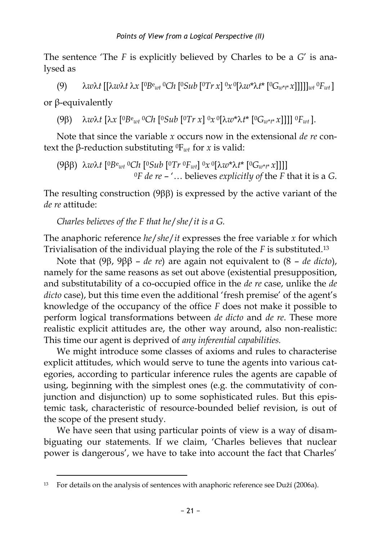The sentence 'The *F* is explicitly believed by Charles to be a *G*' is analysed as

(9)  $\lambda w\lambda t \left[ [\lambda w\lambda t \lambda x \left[ \Omega B_{wt} \Omega C h \left[ \Omega S u b \left[ \Omega T r x \right] \Omega x \Omega \left[ \lambda w^* \lambda t^* \left[ \Omega G_{w^*t^*} x \right] \right] \right] \right] \right]_{wt} \Omega F_{wt} \right]$ 

or β-equivalently

 $(9\beta)$   $\lambda w \lambda t$   $[\lambda x$   $[{}^{0}Be_{wt}$   ${}^{0}Ch$   $[{}^{0}Sub$   ${}^{0}Tr x]$   ${}^{0}x$   ${}^{0}[\lambda w^*\lambda t^*$   $[{}^{0}G_{w^*t^*}x]]]]$   ${}^{0}F_{wt}$  ].

Note that since the variable *x* occurs now in the extensional *de re* context the β-reduction substituting  $^0$ F<sub>*wt*</sub> for *x* is valid:

(9β) *wt* [ <sup>0</sup>*B*<sup>e</sup> *wt* <sup>0</sup>*Ch* [ <sup>0</sup>*Sub* [ <sup>0</sup>*Tr* <sup>0</sup>*Fwt*] 0*x* 0 [*w*\**t*\* [0*G<sup>w</sup>*\**t*\* *x*]]]] <sup>0</sup>*F de re* – '… believes *explicitly of* the *F* that it is a *G*.

The resulting construction  $(9\beta\beta)$  is expressed by the active variant of the *de re* attitude:

*Charles believes of the F that he*/*she*/*it is a G.*

The anaphoric reference *he*/*she*/*it* expresses the free variable *x* for which Trivialisation of the individual playing the role of the *F* is substituted.<sup>13</sup>

Note that (9β, 9ββ – *de re*) are again not equivalent to (8 – *de dicto*), namely for the same reasons as set out above (existential presupposition, and substitutability of a co-occupied office in the *de re* case, unlike the *de dicto* case), but this time even the additional 'fresh premise' of the agent's knowledge of the occupancy of the office *F* does not make it possible to perform logical transformations between *de dicto* and *de re*. These more realistic explicit attitudes are, the other way around, also non-realistic: This time our agent is deprived of *any inferential capabilities.* 

We might introduce some classes of axioms and rules to characterise explicit attitudes, which would serve to tune the agents into various categories, according to particular inference rules the agents are capable of using, beginning with the simplest ones (e.g. the commutativity of conjunction and disjunction) up to some sophisticated rules. But this epistemic task, characteristic of resource-bounded belief revision, is out of the scope of the present study.

We have seen that using particular points of view is a way of disambiguating our statements. If we claim, 'Charles believes that nuclear power is dangerous', we have to take into account the fact that Charles'

 $\overline{a}$ <sup>13</sup> For details on the analysis of sentences with anaphoric reference see Duží (2006a).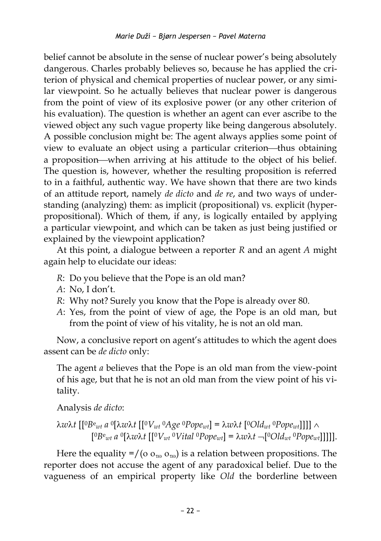belief cannot be absolute in the sense of nuclear power's being absolutely dangerous. Charles probably believes so, because he has applied the criterion of physical and chemical properties of nuclear power, or any similar viewpoint. So he actually believes that nuclear power is dangerous from the point of view of its explosive power (or any other criterion of his evaluation). The question is whether an agent can ever ascribe to the viewed object any such vague property like being dangerous absolutely. A possible conclusion might be: The agent always applies some point of view to evaluate an object using a particular criterion—thus obtaining a proposition—when arriving at his attitude to the object of his belief. The question is, however, whether the resulting proposition is referred to in a faithful, authentic way. We have shown that there are two kinds of an attitude report, namely *de dicto* and *de re*, and two ways of understanding (analyzing) them: as implicit (propositional) vs. explicit (hyperpropositional). Which of them, if any, is logically entailed by applying a particular viewpoint, and which can be taken as just being justified or explained by the viewpoint application?

At this point, a dialogue between a reporter *R* and an agent *A* might again help to elucidate our ideas:

- *R*: Do you believe that the Pope is an old man?
- *A*: No, I don't.
- *R*: Why not? Surely you know that the Pope is already over 80.
- *A*: Yes, from the point of view of age, the Pope is an old man, but from the point of view of his vitality, he is not an old man.

Now, a conclusive report on agent's attitudes to which the agent does assent can be *de dicto* only:

The agent *a* believes that the Pope is an old man from the view-point of his age, but that he is not an old man from the view point of his vitality.

Analysis *de dicto*:

$$
\lambda w \lambda t \left[ \left[ {}^{0}B^{e}_{wt} a {}^{0}[\lambda w \lambda t \left[ \left[ {}^{0}V_{wt} {}^{0}Age {}^{0}Pope_{wt} \right] = \lambda w \lambda t \left[ {}^{0}Old_{wt} {}^{0}Pope_{wt} \right] \right] \right] \wedge \right.
$$
  

$$
\left[ {}^{0}B^{e}_{wt} a {}^{0}[\lambda w \lambda t \left[ \left[ {}^{0}V_{wt} {}^{0}Vita \right] {}^{0}Pope_{wt} \right] = \lambda w \lambda t \rightarrow \left[ {}^{0}Old_{wt} {}^{0}Pope_{wt} \right] \right] \right].
$$

Here the equality =/( $\sigma_{\tau_{00}} \sigma_{\tau_{00}}$ ) is a relation between propositions. The reporter does not accuse the agent of any paradoxical belief. Due to the vagueness of an empirical property like *Old* the borderline between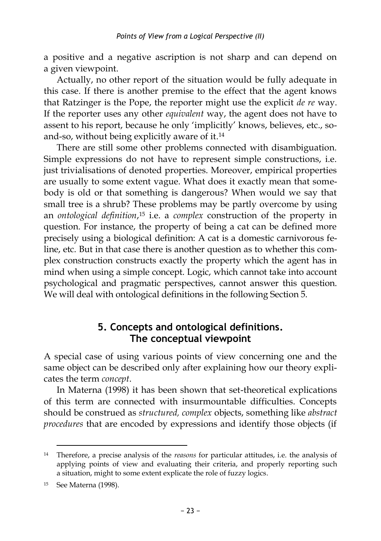a positive and a negative ascription is not sharp and can depend on a given viewpoint.

Actually, no other report of the situation would be fully adequate in this case. If there is another premise to the effect that the agent knows that Ratzinger is the Pope, the reporter might use the explicit *de re* way. If the reporter uses any other *equivalent* way, the agent does not have to assent to his report, because he only 'implicitly' knows, believes, etc., soand-so, without being explicitly aware of it. 14

There are still some other problems connected with disambiguation. Simple expressions do not have to represent simple constructions, i.e. just trivialisations of denoted properties. Moreover, empirical properties are usually to some extent vague. What does it exactly mean that somebody is old or that something is dangerous? When would we say that small tree is a shrub? These problems may be partly overcome by using an *ontological definition*, <sup>15</sup> i.e. a *complex* construction of the property in question. For instance, the property of being a cat can be defined more precisely using a biological definition: A cat is a domestic carnivorous feline, etc. But in that case there is another question as to whether this complex construction constructs exactly the property which the agent has in mind when using a simple concept. Logic, which cannot take into account psychological and pragmatic perspectives, cannot answer this question. We will deal with ontological definitions in the following Section 5.

## **5. Concepts and ontological definitions. The conceptual viewpoint**

A special case of using various points of view concerning one and the same object can be described only after explaining how our theory explicates the term *concept*.

In Materna (1998) it has been shown that set-theoretical explications of this term are connected with insurmountable difficulties. Concepts should be construed as *structured, complex* objects, something like *abstract procedures* that are encoded by expressions and identify those objects (if

<sup>14</sup> Therefore, a precise analysis of the *reasons* for particular attitudes, i.e. the analysis of applying points of view and evaluating their criteria, and properly reporting such a situation, might to some extent explicate the role of fuzzy logics.

<sup>15</sup> See Materna (1998).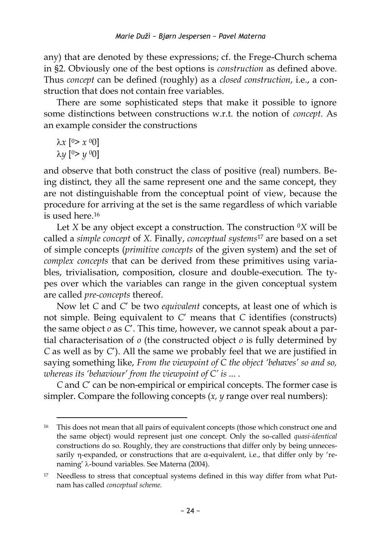any) that are denoted by these expressions; cf. the Frege-Church schema in §2. Obviously one of the best options is *construction* as defined above. Thus *concept* can be defined (roughly) as a *closed construction*, i.e., a construction that does not contain free variables.

There are some sophisticated steps that make it possible to ignore some distinctions between constructions w.r.t. the notion of *concept*. As an example consider the constructions

*x* [ <sup>0</sup>> *x* 00] *y* [ <sup>0</sup>> *y* <sup>0</sup>0]

 $\overline{a}$ 

and observe that both construct the class of positive (real) numbers. Being distinct, they all the same represent one and the same concept, they are not distinguishable from the conceptual point of view, because the procedure for arriving at the set is the same regardless of which variable is used here. 16

Let *X* be any object except a construction. The construction  $\mathbb{O}X$  will be called a *simple concept* of *X.* Finally, *conceptual systems*<sup>17</sup> are based on a set of simple concepts (*primitive concepts* of the given system) and the set of *complex concepts* that can be derived from these primitives using variables, trivialisation, composition, closure and double-execution. The types over which the variables can range in the given conceptual system are called *pre-concepts* thereof.

Now let *C* and *C*' be two *equivalent* concepts, at least one of which is not simple. Being equivalent to *C*' means that *C* identifies (constructs) the same object *o* as *C*'. This time, however, we cannot speak about a partial characterisation of *o* (the constructed object *o* is fully determined by *C* as well as by *C*'). All the same we probably feel that we are justified in saying something like, *From the viewpoint of C the object 'behaves' so and so, whereas its 'behaviour' from the viewpoint of C' is ... .*

*C* and *C*' can be non-empirical or empirical concepts. The former case is simpler. Compare the following concepts (*x, y* range over real numbers):

<sup>&</sup>lt;sup>16</sup> This does not mean that all pairs of equivalent concepts (those which construct one and the same object) would represent just one concept. Only the so-called *quasi-identical* constructions do so. Roughly, they are constructions that differ only by being unnecessarily  $\eta$ -expanded, or constructions that are  $\alpha$ -equivalent, i.e., that differ only by 'renaming' λ-bound variables. See Materna (2004).

<sup>&</sup>lt;sup>17</sup> Needless to stress that conceptual systems defined in this way differ from what Putnam has called *conceptual scheme.*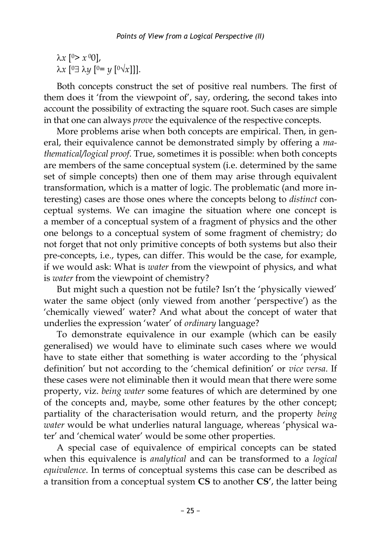*x* [ <sup>0</sup>> *x* <sup>0</sup>0], *λx* [□∃ λy [□= y [□√x]]].

Both concepts construct the set of positive real numbers. The first of them does it 'from the viewpoint of', say, ordering, the second takes into account the possibility of extracting the square root. Such cases are simple in that one can always *prove* the equivalence of the respective concepts.

More problems arise when both concepts are empirical. Then, in general, their equivalence cannot be demonstrated simply by offering a *mathematical/logical proof*. True, sometimes it is possible: when both concepts are members of the same conceptual system (i.e. determined by the same set of simple concepts) then one of them may arise through equivalent transformation, which is a matter of logic. The problematic (and more interesting) cases are those ones where the concepts belong to *distinct* conceptual systems. We can imagine the situation where one concept is a member of a conceptual system of a fragment of physics and the other one belongs to a conceptual system of some fragment of chemistry; do not forget that not only primitive concepts of both systems but also their pre-concepts, i.e., types, can differ. This would be the case, for example, if we would ask: What is *water* from the viewpoint of physics, and what is *water* from the viewpoint of chemistry?

But might such a question not be futile? Isn't the 'physically viewed' water the same object (only viewed from another 'perspective') as the 'chemically viewed' water? And what about the concept of water that underlies the expression 'water' of *ordinary* language?

To demonstrate equivalence in our example (which can be easily generalised) we would have to eliminate such cases where we would have to state either that something is water according to the 'physical definition' but not according to the 'chemical definition' or *vice versa*. If these cases were not eliminable then it would mean that there were some property, viz. *being water* some features of which are determined by one of the concepts and, maybe, some other features by the other concept; partiality of the characterisation would return, and the property *being water* would be what underlies natural language, whereas 'physical water' and 'chemical water' would be some other properties.

A special case of equivalence of empirical concepts can be stated when this equivalence is *analytical* and can be transformed to a *logical equivalence*. In terms of conceptual systems this case can be described as a transition from a conceptual system **CS** to another **CS'**, the latter being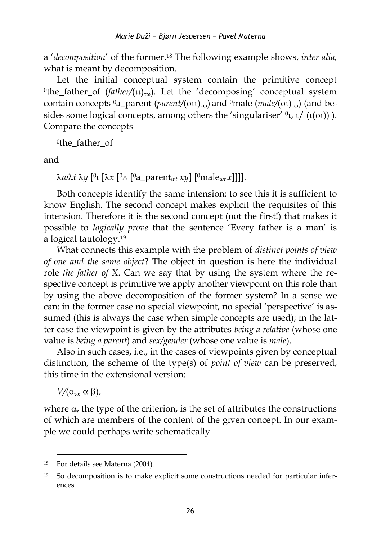a '*decomposition*' of the former.<sup>18</sup> The following example shows, *inter alia*, what is meant by decomposition.

Let the initial conceptual system contain the primitive concept <sup>0</sup>the\_father\_of (*father*/(u)<sub>*v*0</sub>). Let the 'decomposing' conceptual system contain concepts  ${}^{0}a$  parent (*parent*/( $\text{out}$ )<sub>*r*0</sub></sub>) and  ${}^{0}$ male (*male*/( $\text{out}$ )<sub>*r*0</sub></sub>) (and besides some logical concepts, among others the 'singulariser'  $\mathfrak{b}_1$ ,  $\mathfrak{t}/(\mathfrak{t}(\alpha))$ ). Compare the concepts

0 the\_father\_of

and

*wt y* [ 0 [*x* [ <sup>0</sup> [ <sup>0</sup>a\_parent*wt xy*] [0male*wt x*]]]].

Both concepts identify the same intension: to see this it is sufficient to know English. The second concept makes explicit the requisites of this intension. Therefore it is the second concept (not the first!) that makes it possible to *logically prove* that the sentence 'Every father is a man' is a logical tautology. 19

What connects this example with the problem of *distinct points of view of one and the same object*? The object in question is here the individual role *the father of X*. Can we say that by using the system where the respective concept is primitive we apply another viewpoint on this role than by using the above decomposition of the former system? In a sense we can: in the former case no special viewpoint, no special 'perspective' is assumed (this is always the case when simple concepts are used); in the latter case the viewpoint is given by the attributes *being a relative* (whose one value is *being a parent*) and *sex/gender* (whose one value is *male*).

Also in such cases, i.e., in the cases of viewpoints given by conceptual distinction, the scheme of the type(s) of *point of view* can be preserved, this time in the extensional version:

 $V/(O_{\tau\alpha} \alpha \beta)$ ,

where  $\alpha$ , the type of the criterion, is the set of attributes the constructions of which are members of the content of the given concept. In our example we could perhaps write schematically

<sup>18</sup> For details see Materna (2004).

<sup>19</sup> So decomposition is to make explicit some constructions needed for particular inferences.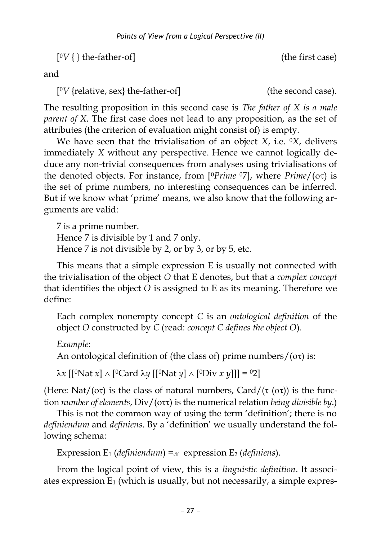$[°V]$  the-father-of] (the first case)

and

 $[°V$  {relative, sex} the-father-of] (the second case).

The resulting proposition in this second case is *The father of X is a male parent of X.* The first case does not lead to any proposition, as the set of attributes (the criterion of evaluation might consist of) is empty.

We have seen that the trivialisation of an object *X*, i.e. 0*X*, delivers immediately *X* without any perspective. Hence we cannot logically deduce any non-trivial consequences from analyses using trivialisations of the denoted objects. For instance, from  $[{}^{0}P$ *rime*  ${}^{0}7]$ , where  $P$ *rime*/( $o\tau$ ) is the set of prime numbers, no interesting consequences can be inferred. But if we know what 'prime' means, we also know that the following arguments are valid:

7 is a prime number. Hence 7 is divisible by 1 and 7 only. Hence 7 is not divisible by 2, or by 3, or by 5, etc.

This means that a simple expression E is usually not connected with the trivialisation of the object *O* that E denotes, but that a *complex concept*  that identifies the object *O* is assigned to E as its meaning. Therefore we define:

Each complex nonempty concept *C* is an *ontological definition* of the object *O* constructed by *C* (read: *concept C defines the object O*).

*Example*:

An ontological definition of (the class of) prime numbers/( $\sigma\tau$ ) is:

 $\lambda x$  [[<sup>o</sup>Nat *x*]  $\wedge$  [<sup>o</sup>Card  $\lambda y$  [[<sup>o</sup>Nat *y*]  $\wedge$  [<sup>o</sup>Div *x y*]]] = <sup>o</sup>2]

(Here: Nat/( $\sigma\tau$ ) is the class of natural numbers, Card/( $\tau$  ( $\sigma\tau$ )) is the function *number of elements*, Div/( $\sigma$ τ) is the numerical relation *being divisible by*.)

This is not the common way of using the term 'definition'; there is no *definiendum* and *definiens*. By a 'definition' we usually understand the following schema:

Expression  $E_1$  (*definiendum*) =  $d_f$  expression  $E_2$  (*definiens*).

From the logical point of view, this is a *linguistic definition*. It associates expression  $E_1$  (which is usually, but not necessarily, a simple expres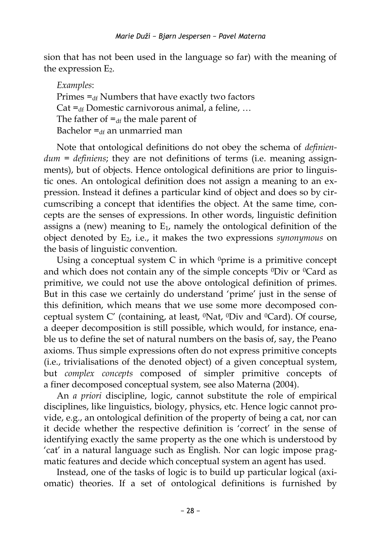sion that has not been used in the language so far) with the meaning of the expression  $E_2$ .

*Examples*: Primes  $=_{df}$  Numbers that have exactly two factors Cat  $=$ <sub>df</sub> Domestic carnivorous animal, a feline, ... The father of  $=_{df}$  the male parent of Bachelor  $=$ <sub>46</sub> an unmarried man

Note that ontological definitions do not obey the schema of *definiendum = definiens*; they are not definitions of terms (i.e. meaning assignments), but of objects. Hence ontological definitions are prior to linguistic ones. An ontological definition does not assign a meaning to an expression. Instead it defines a particular kind of object and does so by circumscribing a concept that identifies the object. At the same time, concepts are the senses of expressions. In other words, linguistic definition assigns a (new) meaning to  $E_1$ , namely the ontological definition of the object denoted by E2, i.e., it makes the two expressions *synonymous* on the basis of linguistic convention.

Using a conceptual system  $C$  in which  $\Omega$ <sup>0</sup>prime is a primitive concept and which does not contain any of the simple concepts  $^0$ Div or  $^0$ Card as primitive, we could not use the above ontological definition of primes. But in this case we certainly do understand 'prime' just in the sense of this definition, which means that we use some more decomposed conceptual system C' (containing, at least, 0Nat, 0Div and 0Card). Of course, a deeper decomposition is still possible, which would, for instance, enable us to define the set of natural numbers on the basis of, say, the Peano axioms. Thus simple expressions often do not express primitive concepts (i.e., trivialisations of the denoted object) of a given conceptual system, but *complex concepts* composed of simpler primitive concepts of a finer decomposed conceptual system*,* see also Materna (2004).

An *a priori* discipline, logic, cannot substitute the role of empirical disciplines, like linguistics, biology, physics, etc. Hence logic cannot provide, e.g., an ontological definition of the property of being a cat, nor can it decide whether the respective definition is 'correct' in the sense of identifying exactly the same property as the one which is understood by 'cat' in a natural language such as English. Nor can logic impose pragmatic features and decide which conceptual system an agent has used.

Instead, one of the tasks of logic is to build up particular logical (axiomatic) theories. If a set of ontological definitions is furnished by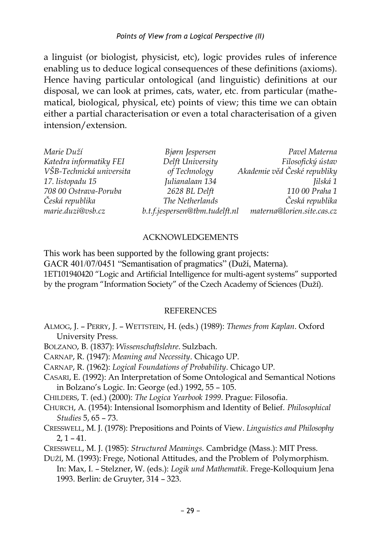a linguist (or biologist, physicist, etc), logic provides rules of inference enabling us to deduce logical consequences of these definitions (axioms). Hence having particular ontological (and linguistic) definitions at our disposal, we can look at primes, cats, water, etc. from particular (mathematical, biological, physical, etc) points of view; this time we can obtain either a partial characterisation or even a total characterisation of a given intension/extension.

| Marie Duží               | Bjørn Jespersen                | Pavel Materna                |
|--------------------------|--------------------------------|------------------------------|
| Katedra informatiky FEI  | Delft University               | Filosofický ústav            |
| VŠB-Technická universita | of Technology                  | Akademie věd České republiky |
| 17. listopadu 15         | Julianalaan 134                | Jilská 1                     |
| 708 00 Ostrava-Poruba    | 2628 BL Delft                  | 110 00 Praha 1               |
| Česká republika          | The Netherlands                | Česká republika              |
| marie.duzi@vsb.cz        | b.t.f.jespersen@tbm.tudelft.nl | materna@lorien.site.cas.cz   |

#### ACKNOWLEDGEMENTS

This work has been supported by the following grant projects: GACR 401/07/0451 "Semantisation of pragmatics" (Duží, Materna). 1ET101940420 "Logic and Artificial Intelligence for multi-agent systems" supported by the program "Information Society" of the Czech Academy of Sciences (Duží).

#### **REFERENCES**

- ALMOG, J. PERRY, J. WETTSTEIN, H. (eds.) (1989): *Themes from Kaplan*. Oxford University Press.
- BOLZANO, B. (1837): *Wissenschaftslehre*. Sulzbach.
- CARNAP, R. (1947): *Meaning and Necessity*. Chicago UP.
- CARNAP, R. (1962): *Logical Foundations of Probability*. Chicago UP.
- CASARI, E. (1992): An Interpretation of Some Ontological and Semantical Notions in Bolzano's Logic. In: George (ed.) 1992, 55 – 105.
- CHILDERS, T. (ed.) (2000): *The Logica Yearbook 1999*. Prague: Filosofia.
- CHURCH, A. (1954): Intensional Isomorphism and Identity of Belief. *Philosophical Studies* 5, 65 – 73.
- CRESSWELL, M. J. (1978): Prepositions and Points of View. *Linguistics and Philosophy*  $2, 1 - 41.$
- CRESSWELL, M. J. (1985): *Structured Meanings.* Cambridge (Mass.): MIT Press.
- DUŽÍ, M. (1993): Frege, Notional Attitudes, and the Problem of Polymorphism. In: Max, I. – Stelzner, W. (eds.): *Logik und Mathematik*. Frege-Kolloquium Jena 1993. Berlin: de Gruyter, 314 – 323.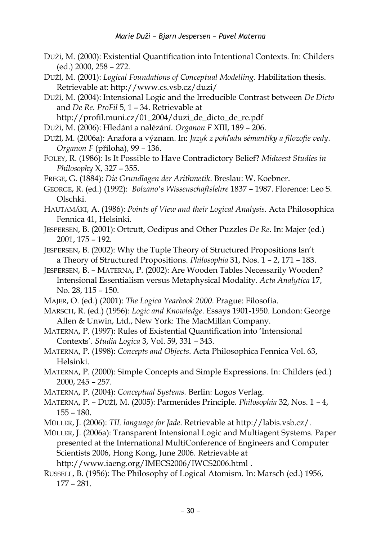- DUŽÍ, M. (2000): Existential Quantification into Intentional Contexts. In: Childers (ed.) 2000, 258 – 272.
- DUŽÍ, M. (2001): *Logical Foundations of Conceptual Modelling*. Habilitation thesis. Retrievable at: http://www.cs.vsb.cz/duzi/
- DUŽÍ, M. (2004): Intensional Logic and the Irreducible Contrast between *De Dicto* and *De Re*. *ProFil* 5, 1 – 34. Retrievable at

[http://profil.muni.cz/01\\_2004/duzi\\_de\\_dicto\\_de\\_re.pdf](http://profil.muni.cz/01_2004/duzi_de_dicto_de_re.pdf)

- DUŽÍ, M. (2006): Hledání a nalézání. *Organon F* XIII, 189 206.
- DUŽÍ, [M.](http://www.cs.vsb.cz/duzi) (2006a): Anafora a význam. In: *Jazyk z pohľadu sémantiky a filozofie vedy*. *Organon F* (příloha), 99 – 136.
- FOLEY, R. (1986): Is It Possible to Have Contradictory Belief? *Midwest Studies in Philosophy* X, 327 – 355.

FREGE, G. (1884): *Die Grundlagen der Arithmetik*. Breslau: W. Koebner.

- GEORGE, R. (ed.) (1992): *Bolzano's Wissenschaftslehre* 1837 1987. Florence: Leo S. Olschki.
- HAUTAMÄKI, A. (1986): *Points of View and their Logical Analysis*. Acta Philosophica Fennica 41, Helsinki.
- JESPERSEN, B. (2001): Ortcutt, Oedipus and Other Puzzles *De Re*. In: Majer (ed.) 2001, 175 – 192.
- JESPERSEN, B. (2002): Why the Tuple Theory of Structured Propositions Isn't a Theory of Structured Propositions. *Philosophia* 31, Nos. 1 – 2, 171 – 183.
- JESPERSEN, B. MATERNA, P. (2002): Are Wooden Tables Necessarily Wooden? Intensional Essentialism versus Metaphysical Modality. *Acta Analytica* 17, No. 28, 115 – 150.
- MAJER, O. (ed.) (2001): *The Logica Yearbook 2000*. Prague: Filosofia.
- MARSCH, R. (ed.) (1956): *Logic and Knowledge*. Essays 1901-1950. London: George Allen & Unwin, Ltd., New York: The MacMillan Company.
- MATERNA, P. (1997): Rules of Existential Quantification into 'Intensional Contexts'. *Studia Logica* 3, Vol. 59, 331 – 343.
- MATERNA, P. (1998): *Concepts and Objects*. Acta Philosophica Fennica Vol. 63, Helsinki.
- MATERNA, P. (2000): Simple Concepts and Simple Expressions. In: Childers (ed.) 2000, 245 – 257.
- MATERNA, P. (2004): *Conceptual Systems.* Berlin: Logos Verlag.
- MATERNA, P. DUŽÍ, M. (2005): Parmenides Principle. *Philosophia* 32, Nos. 1 4, 155 – 180.
- MÜLLER, J. (2006): *TIL language for Jade*. Retrievable a[t http://labis.vsb.cz/.](http://labis.vsb.cz/)

MÜLLER, J. (2006a): Transparent Intensional Logic and Multiagent Systems. Paper presented at the International MultiConference of Engineers and Computer Scientists 2006, Hong Kong, June 2006. Retrievable at <http://www.iaeng.org/IMECS2006/IWCS2006.html> .

RUSSELL, B. (1956): The Philosophy of Logical Atomism. In: Marsch (ed.) 1956, 177 – 281.